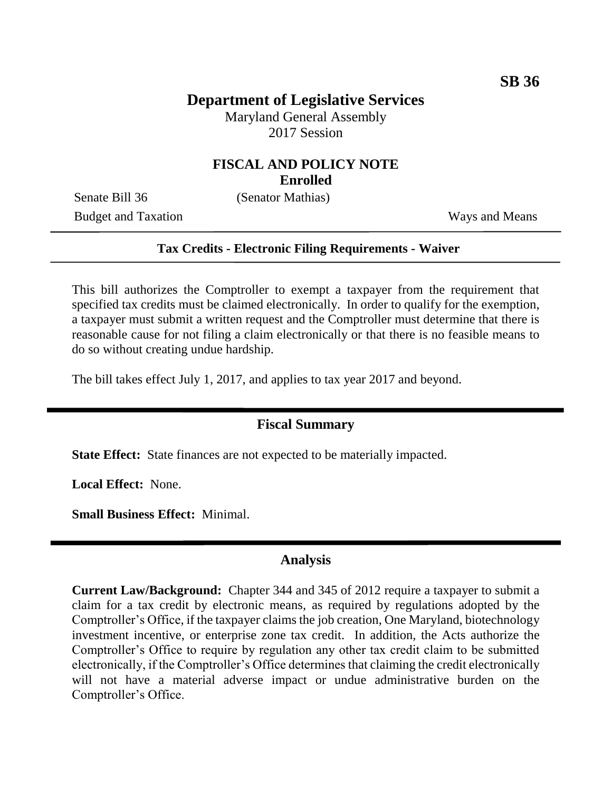# **Department of Legislative Services**

Maryland General Assembly 2017 Session

### **FISCAL AND POLICY NOTE Enrolled**

Senate Bill 36 (Senator Mathias)

Budget and Taxation Ways and Means

### **Tax Credits - Electronic Filing Requirements - Waiver**

This bill authorizes the Comptroller to exempt a taxpayer from the requirement that specified tax credits must be claimed electronically. In order to qualify for the exemption, a taxpayer must submit a written request and the Comptroller must determine that there is reasonable cause for not filing a claim electronically or that there is no feasible means to do so without creating undue hardship.

The bill takes effect July 1, 2017, and applies to tax year 2017 and beyond.

## **Fiscal Summary**

**State Effect:** State finances are not expected to be materially impacted.

**Local Effect:** None.

**Small Business Effect:** Minimal.

### **Analysis**

**Current Law/Background:** Chapter 344 and 345 of 2012 require a taxpayer to submit a claim for a tax credit by electronic means, as required by regulations adopted by the Comptroller's Office, if the taxpayer claims the job creation, One Maryland, biotechnology investment incentive, or enterprise zone tax credit. In addition, the Acts authorize the Comptroller's Office to require by regulation any other tax credit claim to be submitted electronically, if the Comptroller's Office determines that claiming the credit electronically will not have a material adverse impact or undue administrative burden on the Comptroller's Office.